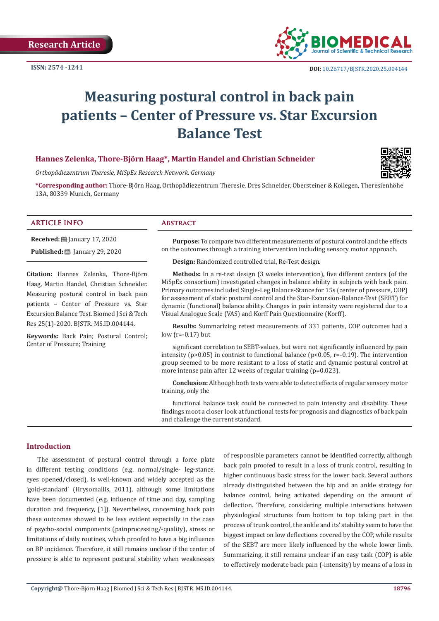

# **Measuring postural control in back pain patients – Center of Pressure vs. Star Excursion Balance Test**

# **Hannes Zelenka, Thore-Björn Haag\*, Martin Handel and Christian Schneider**

*Orthopädiezentrum Theresie, MiSpEx Research Network, Germany*

**\*Corresponding author:** Thore-Björn Haag, Orthopädiezentrum Theresie, Dres Schneider, Obersteiner & Kollegen, Theresienhöhe 13A, 80339 Munich, Germany

### **ARTICLE INFO Abstract**

**Received:** ■ January 17, 2020 **Published:** ■ January 29, 2020

**Citation:** Hannes Zelenka, Thore-Björn Haag, Martin Handel, Christian Schneider. Measuring postural control in back pain patients – Center of Pressure vs. Star Excursion Balance Test. Biomed J Sci & Tech Res 25(1)-2020. BJSTR. MS.ID.004144.

**Keywords:** Back Pain; Postural Control; Center of Pressure; Training

**Purpose:** To compare two different measurements of postural control and the effects on the outcomes through a training intervention including sensory motor approach.

**Design:** Randomized controlled trial, Re-Test design.

**Methods:** In a re-test design (3 weeks intervention), five different centers (of the MiSpEx consortium) investigated changes in balance ability in subjects with back pain. Primary outcomes included Single-Leg Balance-Stance for 15s (center of pressure, COP) for assessment of static postural control and the Star-Excursion-Balance-Test (SEBT) for dynamic (functional) balance ability. Changes in pain intensity were registered due to a Visual Analogue Scale (VAS) and Korff Pain Questionnaire (Korff).

**Results:** Summarizing retest measurements of 331 patients, COP outcomes had a low (r=-0.17) but

significant correlation to SEBT-values, but were not significantly influenced by pain intensity (p>0.05) in contrast to functional balance (p<0.05, r=-0.19). The intervention group seemed to be more resistant to a loss of static and dynamic postural control at more intense pain after 12 weeks of regular training (p=0.023).

**Conclusion:** Although both tests were able to detect effects of regular sensory motor training, only the

functional balance task could be connected to pain intensity and disability. These findings moot a closer look at functional tests for prognosis and diagnostics of back pain and challenge the current standard.

#### **Introduction**

The assessment of postural control through a force plate in different testing conditions (e.g. normal/single- leg-stance, eyes opened/closed), is well-known and widely accepted as the 'gold-standard' (Hrysomallis, 2011), although some limitations have been documented (e.g. influence of time and day, sampling duration and frequency, [1]). Nevertheless, concerning back pain these outcomes showed to be less evident especially in the case of psycho-social components (painprocessing/-quality), stress or limitations of daily routines, which proofed to have a big influence on BP incidence. Therefore, it still remains unclear if the center of pressure is able to represent postural stability when weaknesses

of responsible parameters cannot be identified correctly, although back pain proofed to result in a loss of trunk control, resulting in higher continuous basic stress for the lower back. Several authors already distinguished between the hip and an ankle strategy for balance control, being activated depending on the amount of deflection. Therefore, considering multiple interactions between physiological structures from bottom to top taking part in the process of trunk control, the ankle and its' stability seem to have the biggest impact on low deflections covered by the COP, while results of the SEBT are more likely influenced by the whole lower limb. Summarizing, it still remains unclear if an easy task (COP) is able to effectively moderate back pain (-intensity) by means of a loss in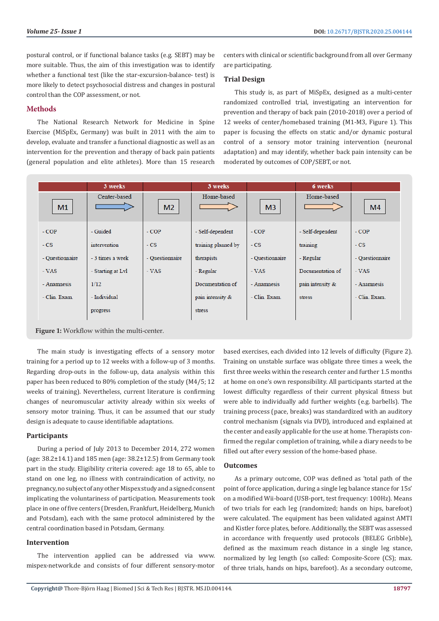postural control, or if functional balance tasks (e.g. SEBT) may be more suitable. Thus, the aim of this investigation was to identify whether a functional test (like the star-excursion-balance- test) is more likely to detect psychosocial distress and changes in postural control than the COP assessment, or not.

#### **Methods**

The National Research Network for Medicine in Spine Exercise (MiSpEx, Germany) was built in 2011 with the aim to develop, evaluate and transfer a functional diagnostic as well as an intervention for the prevention and therapy of back pain patients (general population and elite athletes). More than 15 research

centers with clinical or scientific background from all over Germany are participating.

# **Trial Design**

This study is, as part of MiSpEx, designed as a multi-center randomized controlled trial, investigating an intervention for prevention and therapy of back pain (2010-2018) over a period of 12 weeks of center/homebased training (M1-M3, Figure 1). This paper is focusing the effects on static and/or dynamic postural control of a sensory motor training intervention (neuronal adaptation) and may identify, whether back pain intensity can be moderated by outcomes of COP/SEBT, or not.

|                                             | 3 weeks           |                 | 3 weeks             |                 | 6 weeks          |                 |  |
|---------------------------------------------|-------------------|-----------------|---------------------|-----------------|------------------|-----------------|--|
| M <sub>1</sub>                              | Center-based      | M <sub>2</sub>  | Home-based          | M <sub>3</sub>  | Home-based       | M <sub>4</sub>  |  |
| $-COP$                                      | - Guided          | $-COP$          | - Self-dependent    | $-COP$          | - Self-dependent | $-COP$          |  |
| $-CS$                                       | intervention      | $-CS$           | training planned by | $-CS$           | training         | $-CS$           |  |
| - Questionnaire                             | - 3 times a week  | - Questionnaire | therapists          | - Questionnaire | - Regular        | - Questionnaire |  |
| - VAS                                       | - Starting at Lvl | $-VAS$          | - Regular           | $-VAS$          | Documentation of | $-VAS$          |  |
| - Anamnesis                                 | 1/12              |                 | Documentation of    | - Anamnesis     | pain intensity & | - Anamnesis     |  |
| - Clin. Exam.                               | - Individual      |                 | pain intensity &    | - Clin. Exam.   | stress           | - Clin. Exam.   |  |
|                                             | progress          |                 | stress              |                 |                  |                 |  |
| Figure 1: Workflow within the multi-center. |                   |                 |                     |                 |                  |                 |  |

The main study is investigating effects of a sensory motor training for a period up to 12 weeks with a follow-up of 3 months. Regarding drop-outs in the follow-up, data analysis within this paper has been reduced to 80% completion of the study (M4/5; 12 weeks of training). Nevertheless, current literature is confirming changes of neuromuscular activity already within six weeks of sensory motor training. Thus, it can be assumed that our study design is adequate to cause identifiable adaptations.

# **Participants**

During a period of July 2013 to December 2014, 272 women (age: 38.2±14.1) and 185 men (age: 38.2±12.5) from Germany took part in the study. Eligibility criteria covered: age 18 to 65, able to stand on one leg, no illness with contraindication of activity, no pregnancy, no subject of any other Mispex study and a signed consent implicating the voluntariness of participation. Measurements took place in one of five centers (Dresden, Frankfurt, Heidelberg, Munich and Potsdam), each with the same protocol administered by the central coordination based in Potsdam, Germany.

#### **Intervention**

The intervention applied can be addressed via www. mispex-network.de and consists of four different sensory-motor based exercises, each divided into 12 levels of difficulty (Figure 2). Training on unstable surface was obligate three times a week, the first three weeks within the research center and further 1.5 months at home on one's own responsibility. All participants started at the lowest difficulty regardless of their current physical fitness but were able to individually add further weights (e.g. barbells). The training process (pace, breaks) was standardized with an auditory control mechanism (signals via DVD), introduced and explained at the center and easily applicable for the use at home. Therapists confirmed the regular completion of training, while a diary needs to be filled out after every session of the home-based phase.

#### **Outcomes**

As a primary outcome, COP was defined as 'total path of the point of force application, during a single leg balance stance for 15s' on a modified Wii-board (USB-port, test frequency: 100Hz). Means of two trials for each leg (randomized; hands on hips, barefoot) were calculated. The equipment has been validated against AMTI and Kistler force plates, before. Additionally, the SEBT was assessed in accordance with frequently used protocols (BELEG Gribble), defined as the maximum reach distance in a single leg stance, normalized by leg length (so called: Composite-Score (CS); max. of three trials, hands on hips, barefoot). As a secondary outcome,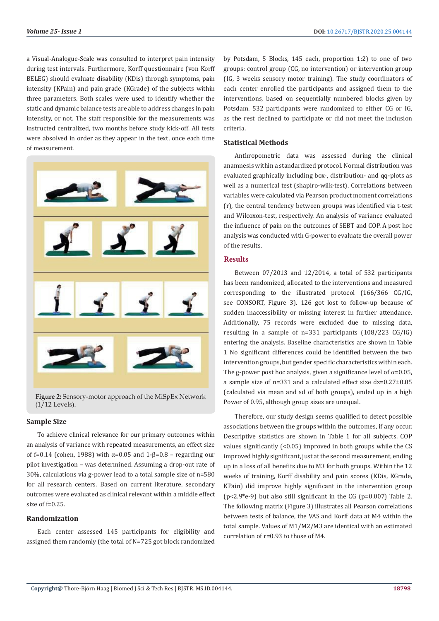a Visual-Analogue-Scale was consulted to interpret pain intensity during test intervals. Furthermore, Korff questionnaire (von Korff BELEG) should evaluate disability (KDis) through symptoms, pain intensity (KPain) and pain grade (KGrade) of the subjects within three parameters. Both scales were used to identify whether the static and dynamic balance tests are able to address changes in pain intensity, or not. The staff responsible for the measurements was instructed centralized, two months before study kick-off. All tests were absolved in order as they appear in the text, once each time of measurement.



**Figure 2:** Sensory-motor approach of the MiSpEx Network (1/12 Levels).

#### **Sample Size**

To achieve clinical relevance for our primary outcomes within an analysis of variance with repeated measurements, an effect size of f=0.14 (cohen, 1988) with  $\alpha$ =0.05 and 1-β=0.8 – regarding our pilot investigation – was determined. Assuming a drop-out rate of 30%, calculations via g-power lead to a total sample size of n=580 for all research centers. Based on current literature, secondary outcomes were evaluated as clinical relevant within a middle effect size of  $f=0.25$ .

# **Randomization**

Each center assessed 145 participants for eligibility and assigned them randomly (the total of N=725 got block randomized by Potsdam, 5 Blocks, 145 each, proportion 1:2) to one of two groups: control group (CG, no intervention) or intervention group (IG, 3 weeks sensory motor training). The study coordinators of each center enrolled the participants and assigned them to the interventions, based on sequentially numbered blocks given by Potsdam. 532 participants were randomized to either CG or IG, as the rest declined to participate or did not meet the inclusion criteria.

#### **Statistical Methods**

Anthropometric data was assessed during the clinical anamnesis within a standardized protocol. Normal distribution was evaluated graphically including box-, distribution- and qq-plots as well as a numerical test (shapiro-wilk-test). Correlations between variables were calculated via Pearson product moment correlations (r), the central tendency between groups was identified via t-test and Wilcoxon-test, respectively. An analysis of variance evaluated the influence of pain on the outcomes of SEBT and COP. A post hoc analysis was conducted with G-power to evaluate the overall power of the results.

# **Results**

Between 07/2013 and 12/2014, a total of 532 participants has been randomized, allocated to the interventions and measured corresponding to the illustrated protocol (166/366 CG/IG, see CONSORT, Figure 3). 126 got lost to follow-up because of sudden inaccessibility or missing interest in further attendance. Additionally, 75 records were excluded due to missing data, resulting in a sample of n=331 participants (108/223 CG/IG) entering the analysis. Baseline characteristics are shown in Table 1 No significant differences could be identified between the two intervention groups, but gender specific characteristics within each. The g-power post hoc analysis, given a significance level of  $\alpha$ =0.05, a sample size of n=331 and a calculated effect size dz=0.27±0.05 (calculated via mean and sd of both groups), ended up in a high Power of 0.95, although group sizes are unequal.

Therefore, our study design seems qualified to detect possible associations between the groups within the outcomes, if any occur. Descriptive statistics are shown in Table 1 for all subjects. COP values significantly (<0.05) improved in both groups while the CS improved highly significant, just at the second measurement, ending up in a loss of all benefits due to M3 for both groups. Within the 12 weeks of training, Korff disability and pain scores (KDis, KGrade, KPain) did improve highly significant in the intervention group ( $p<2.9^*e-9$ ) but also still significant in the CG ( $p=0.007$ ) Table 2. The following matrix (Figure 3) illustrates all Pearson correlations between tests of balance, the VAS and Korff data at M4 within the total sample. Values of M1/M2/M3 are identical with an estimated correlation of r=0.93 to those of M4.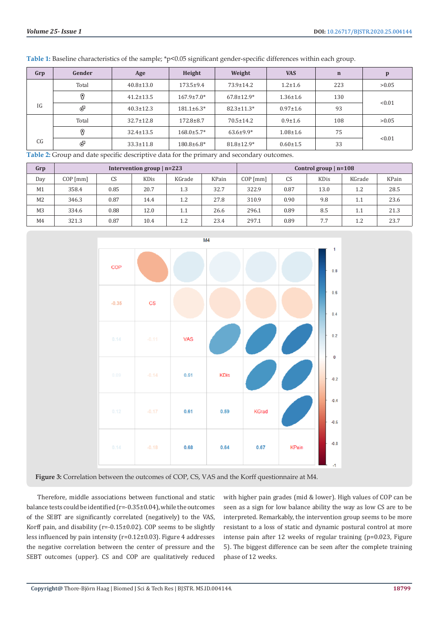| Gender | Age             | Height            | Weight           | <b>VAS</b>     | $\mathbf n$ | p      |  |
|--------|-----------------|-------------------|------------------|----------------|-------------|--------|--|
| Total  | $40.8 \pm 13.0$ | $173.5 \pm 9.4$   | $73.9 \pm 14.2$  | $1.2 \pm 1.6$  | 223         | >0.05  |  |
| 0      | $41.2 \pm 13.5$ | $167.9 \pm 7.0*$  | $67.8 \pm 12.9*$ | $1.36 \pm 1.6$ | 130         | < 0.01 |  |
| ச      | $40.3 \pm 12.3$ | $181.1 \pm 6.3*$  | $82.3 \pm 11.3*$ | $0.97 \pm 1.6$ | 93          |        |  |
| Total  | $32.7 \pm 12.8$ | $172.8 \pm 8.7$   | $70.5 \pm 14.2$  | $0.9 \pm 1.6$  | 108         | >0.05  |  |
| 0      | $32.4 \pm 13.5$ | $168.0 \pm 5.7*$  | $63.6 \pm 9.9*$  | $1.08 + 1.6$   | 75          | < 0.01 |  |
| ச      | $33.3 \pm 11.8$ | $180.8 \pm 6.8^*$ | $81.8 \pm 12.9*$ | $0.60 \pm 1.5$ | 33          |        |  |
|        |                 |                   |                  |                |             |        |  |

**Table 1:** Baseline characteristics of the sample; \*p<0.05 significant gender-specific differences within each group.

**Table 2:** Group and date specific descriptive data for the primary and secondary outcomes.

| Grp            | Intervention group $ n=223$ |      |             |        | Control group $ n=108$ |            |      |      |        |       |
|----------------|-----------------------------|------|-------------|--------|------------------------|------------|------|------|--------|-------|
| Day            | $COP$ [mm]                  | CS   | <b>KDis</b> | KGrade | KPain                  | $COP$ [mm] | CS   | KDis | KGrade | KPain |
| M <sub>1</sub> | 358.4                       | 0.85 | 20.7        | 1.3    | 32.7                   | 322.9      | 0.87 | 13.0 | 1.2    | 28.5  |
| M <sub>2</sub> | 346.3                       | 0.87 | 14.4        | 1.2    | 27.8                   | 310.9      | 0.90 | 9.8  | 1.1    | 23.6  |
| M <sub>3</sub> | 334.6                       | 0.88 | 12.0        | 1.1    | 26.6                   | 296.1      | 0.89 | 8.5  | 1.1    | 21.3  |
| M4             | 321.3                       | 0.87 | 10.4        | 1.2    | 23.4                   | 297.1      | 0.89 | 7.7  | 1.2    | 23.7  |



**Figure 3:** Correlation between the outcomes of COP, CS, VAS and the Korff questionnaire at M4.

Therefore, middle associations between functional and static balance tests could be identified (r=-0.35±0.04), while the outcomes of the SEBT are significantly correlated (negatively) to the VAS, Korff pain, and disability ( $r=-0.15\pm0.02$ ). COP seems to be slightly less influenced by pain intensity (r=0.12±0.03). Figure 4 addresses the negative correlation between the center of pressure and the SEBT outcomes (upper). CS and COP are qualitatively reduced

with higher pain grades (mid & lower). High values of COP can be seen as a sign for low balance ability the way as low CS are to be interpreted. Remarkably, the intervention group seems to be more resistant to a loss of static and dynamic postural control at more intense pain after 12 weeks of regular training (p=0.023, Figure 5). The biggest difference can be seen after the complete training phase of 12 weeks.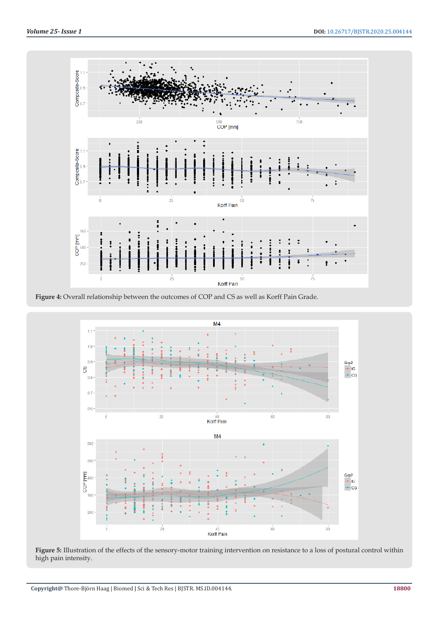





**Figure 5:** Illustration of the effects of the sensory-motor training intervention on resistance to a loss of postural control within high pain intensity.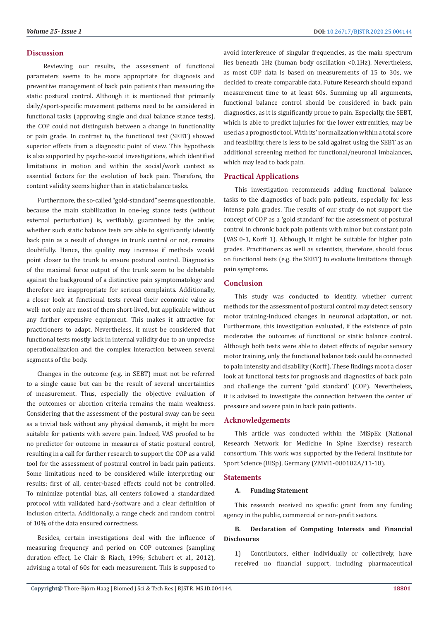#### **Discussion**

 Reviewing our results, the assessment of functional parameters seems to be more appropriate for diagnosis and preventive management of back pain patients than measuring the static postural control. Although it is mentioned that primarily daily/sport-specific movement patterns need to be considered in functional tasks (approving single and dual balance stance tests), the COP could not distinguish between a change in functionality or pain grade. In contrast to, the functional test (SEBT) showed superior effects from a diagnostic point of view. This hypothesis is also supported by psycho-social investigations, which identified limitations in motion and within the social/work context as essential factors for the evolution of back pain. Therefore, the content validity seems higher than in static balance tasks.

Furthermore, the so-called "gold-standard" seems questionable, because the main stabilization in one-leg stance tests (without external perturbation) is, verifiably, guaranteed by the ankle; whether such static balance tests are able to significantly identify back pain as a result of changes in trunk control or not, remains doubtfully. Hence, the quality may increase if methods would point closer to the trunk to ensure postural control. Diagnostics of the maximal force output of the trunk seem to be debatable against the background of a distinctive pain symptomatology and therefore are inappropriate for serious complaints. Additionally, a closer look at functional tests reveal their economic value as well: not only are most of them short-lived, but applicable without any further expensive equipment. This makes it attractive for practitioners to adapt. Nevertheless, it must be considered that functional tests mostly lack in internal validity due to an unprecise operationalization and the complex interaction between several segments of the body.

Changes in the outcome (e.g. in SEBT) must not be referred to a single cause but can be the result of several uncertainties of measurement. Thus, especially the objective evaluation of the outcomes or abortion criteria remains the main weakness. Considering that the assessment of the postural sway can be seen as a trivial task without any physical demands, it might be more suitable for patients with severe pain. Indeed, VAS proofed to be no predictor for outcome in measures of static postural control, resulting in a call for further research to support the COP as a valid tool for the assessment of postural control in back pain patients. Some limitations need to be considered while interpreting our results: first of all, center-based effects could not be controlled. To minimize potential bias, all centers followed a standardized protocol with validated hard-/software and a clear definition of inclusion criteria. Additionally, a range check and random control of 10% of the data ensured correctness.

Besides, certain investigations deal with the influence of measuring frequency and period on COP outcomes (sampling duration effect, Le Clair & Riach, 1996; Schubert et al., 2012), advising a total of 60s for each measurement. This is supposed to

avoid interference of singular frequencies, as the main spectrum lies beneath 1Hz (human body oscillation <0.1Hz). Nevertheless, as most COP data is based on measurements of 15 to 30s, we decided to create comparable data. Future Research should expand measurement time to at least 60s. Summing up all arguments, functional balance control should be considered in back pain diagnostics, as it is significantly prone to pain. Especially, the SEBT, which is able to predict injuries for the lower extremities, may be used as a prognostic tool. With its' normalization within a total score and feasibility, there is less to be said against using the SEBT as an additional screening method for functional/neuronal imbalances, which may lead to back pain.

#### **Practical Applications**

This investigation recommends adding functional balance tasks to the diagnostics of back pain patients, especially for less intense pain grades. The results of our study do not support the concept of COP as a 'gold standard' for the assessment of postural control in chronic back pain patients with minor but constant pain (VAS 0-1, Korff 1). Although, it might be suitable for higher pain grades. Practitioners as well as scientists, therefore, should focus on functional tests (e.g. the SEBT) to evaluate limitations through pain symptoms.

#### **Conclusion**

This study was conducted to identify, whether current methods for the assessment of postural control may detect sensory motor training-induced changes in neuronal adaptation, or not. Furthermore, this investigation evaluated, if the existence of pain moderates the outcomes of functional or static balance control. Although both tests were able to detect effects of regular sensory motor training, only the functional balance task could be connected to pain intensity and disability (Korff). These findings moot a closer look at functional tests for prognosis and diagnostics of back pain and challenge the current 'gold standard' (COP). Nevertheless, it is advised to investigate the connection between the center of pressure and severe pain in back pain patients.

#### **Acknowledgements**

This article was conducted within the MiSpEx (National Research Network for Medicine in Spine Exercise) research consortium. This work was supported by the Federal Institute for Sport Science (BISp), Germany (ZMVI1-080102A/11-18).

#### **Statements**

### **A. Funding Statement**

This research received no specific grant from any funding agency in the public, commercial or non-profit sectors.

# **B. Declaration of Competing Interests and Financial Disclosures**

1) Contributors, either individually or collectively, have received no financial support, including pharmaceutical